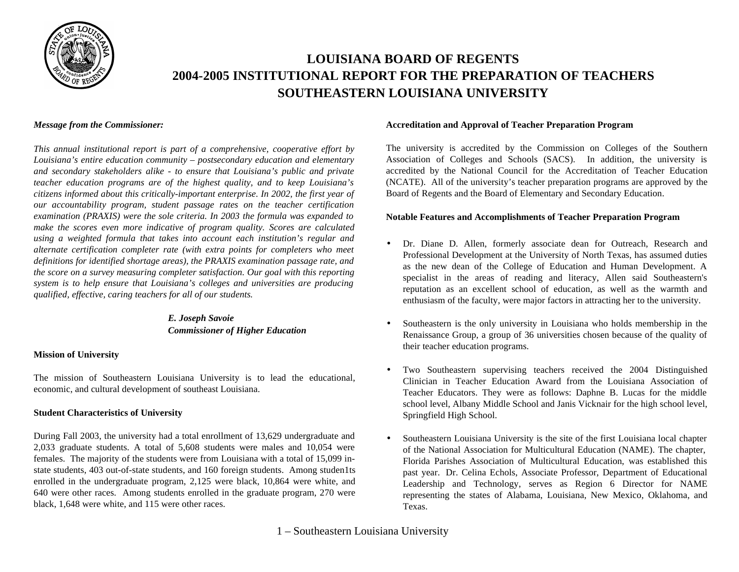

# **LOUISIANA BOARD OF REGENTS 2004-2005 INSTITUTIONAL REPORT FOR THE PREPARATION OF TEACHERS SOUTHEASTERN LOUISIANA UNIVERSITY**

#### *Message from the Commissioner:*

*This annual institutional report is part of a comprehensive, cooperative effort by Louisiana's entire education community – postsecondary education and elementary and secondary stakeholders alike - to ensure that Louisiana's public and private teacher education programs are of the highest quality, and to keep Louisiana's citizens informed about this critically-important enterprise. In 2002, the first year of our accountability program, student passage rates on the teacher certification examination (PRAXIS) were the sole criteria. In 2003 the formula was expanded to make the scores even more indicative of program quality. Scores are calculated using a weighted formula that takes into account each institution's regular and alternate certification completer rate (with extra points for completers who meet definitions for identified shortage areas), the PRAXIS examination passage rate, and the score on a survey measuring completer satisfaction. Our goal with this reporting system is to help ensure that Louisiana's colleges and universities are producing qualified, effective, caring teachers for all of our students.*

### *E. Joseph Savoie Commissioner of Higher Education*

### **Mission of University**

The mission of Southeastern Louisiana University is to lead the educational, economic, and cultural development of southeast Louisiana.

#### **Student Characteristics of University**

During Fall 2003, the university had a total enrollment of 13,629 undergraduate and 2,033 graduate students. A total of 5,608 students were males and 10,054 were females. The majority of the students were from Louisiana with a total of 15,099 instate students, 403 out-of-state students, and 160 foreign students. Among studen1ts enrolled in the undergraduate program, 2,125 were black, 10,864 were white, and 640 were other races. Among students enrolled in the graduate program, 270 were black, 1,648 were white, and 115 were other races.

#### **Accreditation and Approval of Teacher Preparation Program**

The university is accredited by the Commission on Colleges of the Southern Association of Colleges and Schools (SACS). In addition, the university is accredited by the National Council for the Accreditation of Teacher Education (NCATE). All of the university's teacher preparation programs are approved by the Board of Regents and the Board of Elementary and Secondary Education.

#### **Notable Features and Accomplishments of Teacher Preparation Program**

- Dr. Diane D. Allen, formerly associate dean for Outreach, Research and Professional Development at the University of North Texas, has assumed duties as the new dean of the College of Education and Human Development. A specialist in the areas of reading and literacy, Allen said Southeastern's reputation as an excellent school of education, as well as the warmth and enthusiasm of the faculty, were major factors in attracting her to the university.
- Southeastern is the only university in Louisiana who holds membership in the Renaissance Group, a group of 36 universities chosen because of the quality of their teacher education programs.
- Two Southeastern supervising teachers received the 2004 Distinguished Clinician in Teacher Education Award from the Louisiana Association of Teacher Educators. They were as follows: Daphne B. Lucas for the middle school level, Albany Middle School and Janis Vicknair for the high school level, Springfield High School.
- Southeastern Louisiana University is the site of the first Louisiana local chapter of the National Association for Multicultural Education (NAME). The chapter, Florida Parishes Association of Multicultural Education, was established this past year. Dr. Celina Echols, Associate Professor, Department of Educational Leadership and Technology, serves as Region 6 Director for NAME representing the states of Alabama, Louisiana, New Mexico, Oklahoma, and Texas.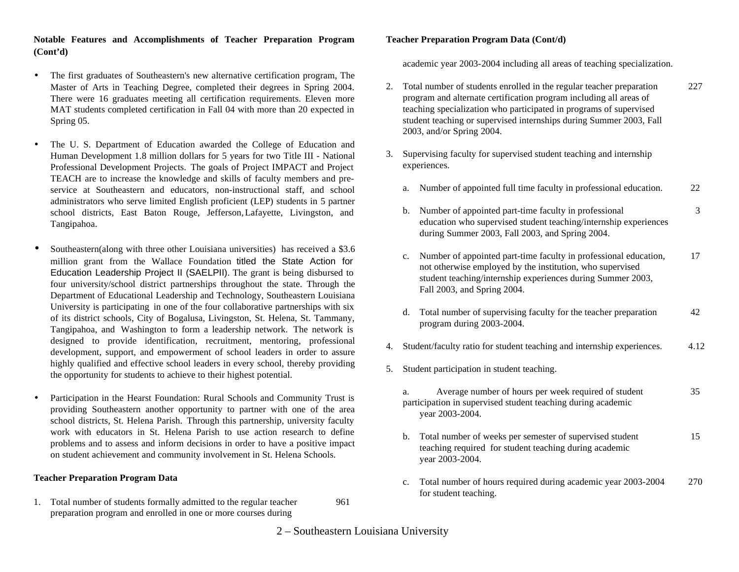### **Notable Features and Accomplishments of Teacher Preparation Program (Cont'd)**

- The first graduates of Southeastern's new alternative certification program, The Master of Arts in Teaching Degree, completed their degrees in Spring 2004. There were 16 graduates meeting all certification requirements. Eleven more MAT students completed certification in Fall 04 with more than 20 expected in Spring 05.
- The U. S. Department of Education awarded the College of Education and Human Development 1.8 million dollars for 5 years for two Title III - National Professional Development Projects. The goals of Project IMPACT and Project TEACH are to increase the knowledge and skills of faculty members and preservice at Southeastern and educators, non-instructional staff, and school administrators who serve limited English proficient (LEP) students in 5 partner school districts, East Baton Rouge, Jefferson,Lafayette, Livingston, and Tangipahoa.
- Southeastern(along with three other Louisiana universities) has received a \$3.6 million grant from the Wallace Foundation titled the State Action for Education Leadership Project II (SAELPII). The grant is being disbursed to four university/school district partnerships throughout the state. Through the Department of Educational Leadership and Technology, Southeastern Louisiana University is participating in one of the four collaborative partnerships with six of its district schools, City of Bogalusa, Livingston, St. Helena, St. Tammany, Tangipahoa, and Washington to form a leadership network. The network is designed to provide identification, recruitment, mentoring, professional development, support, and empowerment of school leaders in order to assure highly qualified and effective school leaders in every school, thereby providing the opportunity for students to achieve to their highest potential.
- Participation in the Hearst Foundation: Rural Schools and Community Trust is providing Southeastern another opportunity to partner with one of the area school districts, St. Helena Parish. Through this partnership, university faculty work with educators in St. Helena Parish to use action research to define problems and to assess and inform decisions in order to have a positive impact on student achievement and community involvement in St. Helena Schools.

### **Teacher Preparation Program Data**

1. Total number of students formally admitted to the regular teacher 961 preparation program and enrolled in one or more courses during

**Teacher Preparation Program Data (Cont/d)**

academic year 2003-2004 including all areas of teaching specialization.

- 2. Total number of students enrolled in the regular teacher preparation 227 program and alternate certification program including all areas of teaching specialization who participated in programs of supervised student teaching or supervised internships during Summer 2003, Fall 2003, and/or Spring 2004.
- 3. Supervising faculty for supervised student teaching and internship experiences.
	- a. Number of appointed full time faculty in professional education. 22
	- b. Number of appointed part-time faculty in professional 3 education who supervised student teaching/internship experiences during Summer 2003, Fall 2003, and Spring 2004.
	- c. Number of appointed part-time faculty in professional education, 17 not otherwise employed by the institution, who supervised student teaching/internship experiences during Summer 2003, Fall 2003, and Spring 2004.
	- d. Total number of supervising faculty for the teacher preparation 42 program during 2003-2004.
- 4. Student/faculty ratio for student teaching and internship experiences. 4.12
- 5. Student participation in student teaching.
	- a. Average number of hours per week required of student 35 participation in supervised student teaching during academic year 2003-2004.
	- b. Total number of weeks per semester of supervised student 15 teaching required for student teaching during academic year 2003-2004.
	- c. Total number of hours required during academic year 2003-2004 270 for student teaching.
- 2 Southeastern Louisiana University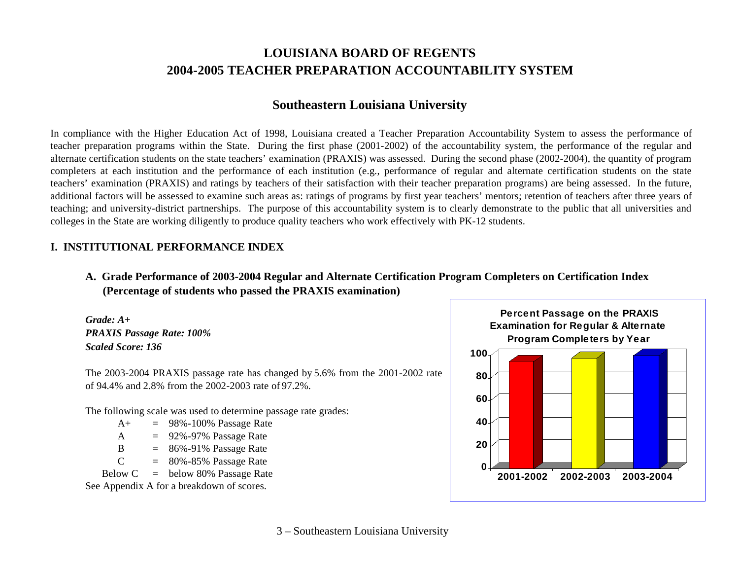# **LOUISIANA BOARD OF REGENTS 2004-2005 TEACHER PREPARATION ACCOUNTABILITY SYSTEM**

## **Southeastern Louisiana University**

In compliance with the Higher Education Act of 1998, Louisiana created a Teacher Preparation Accountability System to assess the performance of teacher preparation programs within the State. During the first phase (2001-2002) of the accountability system, the performance of the regular and alternate certification students on the state teachers' examination (PRAXIS) was assessed. During the second phase (2002-2004), the quantity of program completers at each institution and the performance of each institution (e.g., performance of regular and alternate certification students on the state teachers' examination (PRAXIS) and ratings by teachers of their satisfaction with their teacher preparation programs) are being assessed. In the future, additional factors will be assessed to examine such areas as: ratings of programs by first year teachers' mentors; retention of teachers after three years of teaching; and university-district partnerships. The purpose of this accountability system is to clearly demonstrate to the public that all universities and colleges in the State are working diligently to produce quality teachers who work effectively with PK-12 students.

### **I. INSTITUTIONAL PERFORMANCE INDEX**

**A. Grade Performance of 2003-2004 Regular and Alternate Certification Program Completers on Certification Index (Percentage of students who passed the PRAXIS examination)**

*Grade: A+ PRAXIS Passage Rate: 100% Scaled Score: 136*

The 2003-2004 PRAXIS passage rate has changed by 5.6% from the 2001-2002 rate of 94.4% and 2.8% from the 2002-2003 rate of 97.2%.

The following scale was used to determine passage rate grades:

 $A_{+}$  = 98%-100% Passage Rate A  $= 92\% - 97\%$  Passage Rate B  $= 86\% - 91\%$  Passage Rate  $C = 80\% - 85\%$  Passage Rate Below  $C =$  below 80% Passage Rate

See Appendix A for a breakdown of scores.

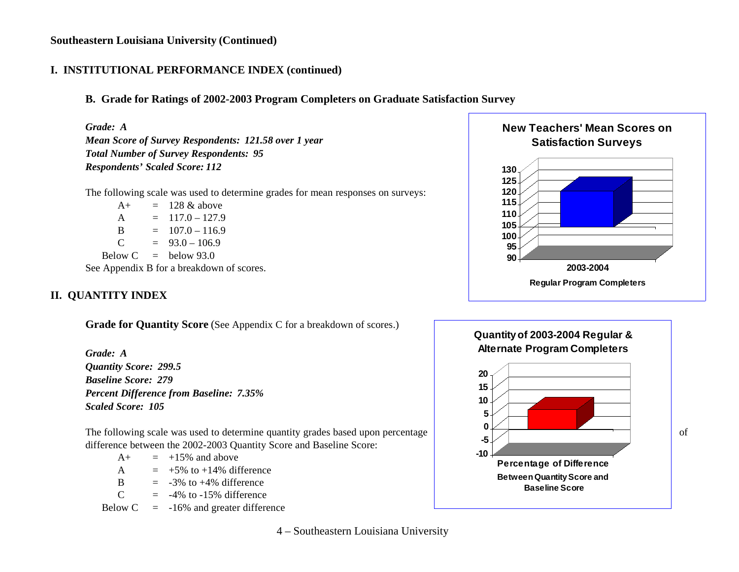## **I. INSTITUTIONAL PERFORMANCE INDEX (continued)**

## **B. Grade for Ratings of 2002-2003 Program Completers on Graduate Satisfaction Survey**

*Grade: A Mean Score of Survey Respondents: 121.58 over 1 year Total Number of Survey Respondents: 95 Respondents' Scaled Score: 112*

The following scale was used to determine grades for mean responses on surveys:

 $A_+$  = 128 & above A  $= 117.0 - 127.9$ B  $= 107.0 - 116.9$  $C = 93.0 - 106.9$ Below  $C =$  below 93.0 See Appendix B for a breakdown of scores.

# **II. QUANTITY INDEX**

**Grade for Quantity Score** (See Appendix C for a breakdown of scores.)

*Grade: A Quantity Score: 299.5 Baseline Score: 279 Percent Difference from Baseline: 7.35% Scaled Score: 105*

The following scale was used to determine quantity grades based upon percentage  $\blacksquare$ difference between the 2002-2003 Quantity Score and Baseline Score:

| $A+$ |     | $=$ +15% and above          |
|------|-----|-----------------------------|
| A    |     | $=$ +5% to +14% difference  |
| R    | $=$ | $-3\%$ to $+4\%$ difference |
| ⌒    |     |                             |

 $C = -4\%$  to  $-15\%$  difference

Below  $C = -16\%$  and greater difference





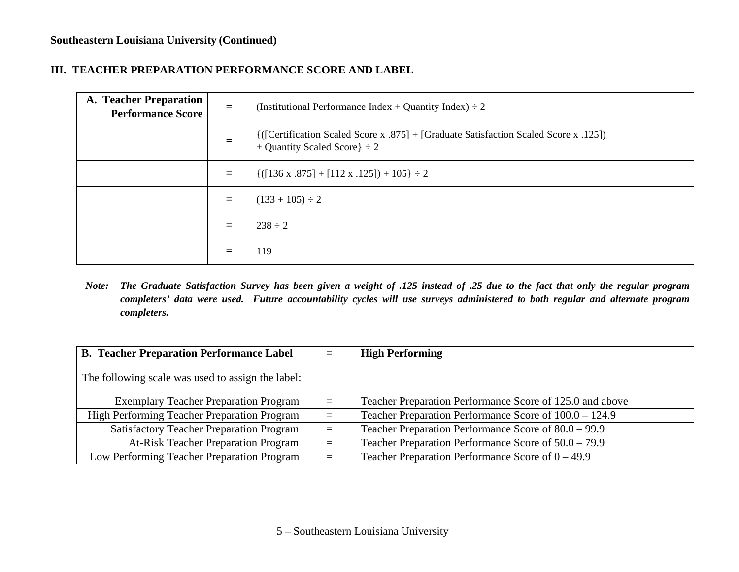### **III. TEACHER PREPARATION PERFORMANCE SCORE AND LABEL**

| A. Teacher Preparation<br><b>Performance Score</b> | $=$ | (Institutional Performance Index + Quantity Index) $\div 2$                                                                  |
|----------------------------------------------------|-----|------------------------------------------------------------------------------------------------------------------------------|
|                                                    | $=$ | {{[Certification Scaled Score x .875] + [Graduate Satisfaction Scaled Score x .125])}<br>+ Quantity Scaled Score $\} \div 2$ |
|                                                    | Ξ   | $\{([136 \times .875] + [112 \times .125]) + 105\} \div 2$                                                                   |
|                                                    | $=$ | $(133 + 105) \div 2$                                                                                                         |
|                                                    | $=$ | $238 \div 2$                                                                                                                 |
|                                                    | =   | 119                                                                                                                          |

Note: The Graduate Satisfaction Survey has been given a weight of .125 instead of .25 due to the fact that only the regular program completers' data were used. Future accountability cycles will use surveys administered to both regular and alternate program *completers.*

| <b>B. Teacher Preparation Performance Label</b>   |          | <b>High Performing</b>                                   |  |  |
|---------------------------------------------------|----------|----------------------------------------------------------|--|--|
| The following scale was used to assign the label: |          |                                                          |  |  |
| <b>Exemplary Teacher Preparation Program</b>      | $\equiv$ | Teacher Preparation Performance Score of 125.0 and above |  |  |
| High Performing Teacher Preparation Program       | $\equiv$ | Teacher Preparation Performance Score of 100.0 – 124.9   |  |  |
| <b>Satisfactory Teacher Preparation Program</b>   | $=$      | Teacher Preparation Performance Score of $80.0 - 99.9$   |  |  |
| <b>At-Risk Teacher Preparation Program</b>        | $=$      | Teacher Preparation Performance Score of $50.0 - 79.9$   |  |  |
| Low Performing Teacher Preparation Program        | $\equiv$ | Teacher Preparation Performance Score of $0 - 49.9$      |  |  |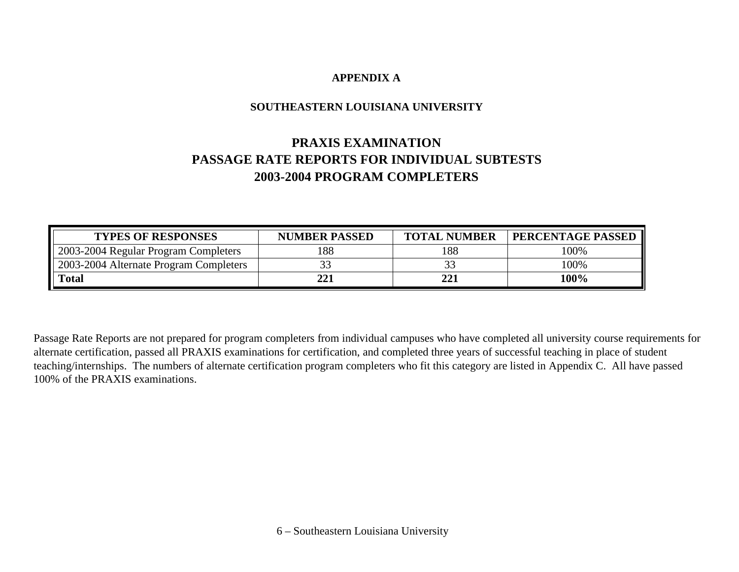## **APPENDIX A**

## **SOUTHEASTERN LOUISIANA UNIVERSITY**

# **PRAXIS EXAMINATION PASSAGE RATE REPORTS FOR INDIVIDUAL SUBTESTS 2003-2004 PROGRAM COMPLETERS**

| <b>TYPES OF RESPONSES</b>              | <b>NUMBER PASSED</b> | <b>TOTAL NUMBER</b> | <b>PERCENTAGE PASSED</b> |
|----------------------------------------|----------------------|---------------------|--------------------------|
| 2003-2004 Regular Program Completers   | 188                  | 188                 | 100%                     |
| 2003-2004 Alternate Program Completers |                      |                     | 100%                     |
| <b>Total</b>                           | 221                  | 221                 | 100%                     |

Passage Rate Reports are not prepared for program completers from individual campuses who have completed all university course requirements for alternate certification, passed all PRAXIS examinations for certification, and completed three years of successful teaching in place of student teaching/internships. The numbers of alternate certification program completers who fit this category are listed in Appendix C. All have passed 100% of the PRAXIS examinations.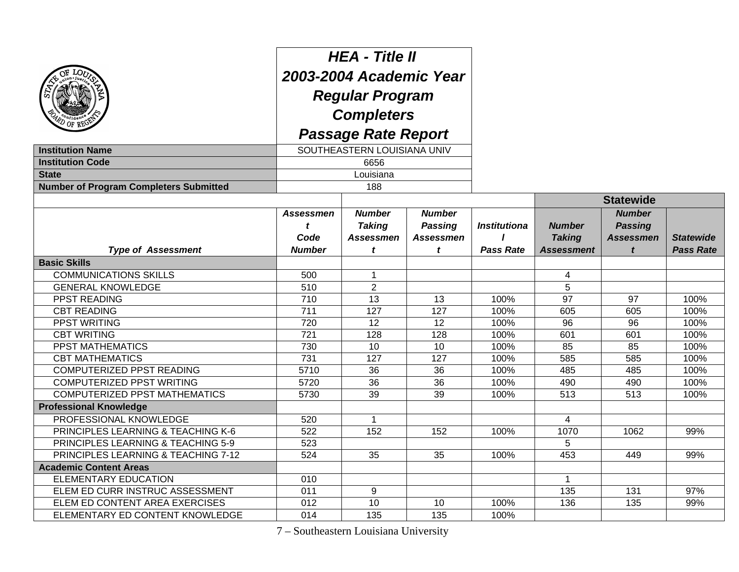| <b>Institution Name</b><br><b>Institution Code</b><br><b>State</b><br><b>Number of Program Completers Submitted</b> | <b>HEA - Title II</b><br>2003-2004 Academic Year<br><b>Regular Program</b><br><b>Completers</b><br><b>Passage Rate Report</b><br>SOUTHEASTERN LOUISIANA UNIV<br>6656<br>Louisiana |                                                         |                                                          |                                         |                                                     |                                                          |                                      |
|---------------------------------------------------------------------------------------------------------------------|-----------------------------------------------------------------------------------------------------------------------------------------------------------------------------------|---------------------------------------------------------|----------------------------------------------------------|-----------------------------------------|-----------------------------------------------------|----------------------------------------------------------|--------------------------------------|
|                                                                                                                     |                                                                                                                                                                                   | 188                                                     |                                                          |                                         |                                                     | <b>Statewide</b>                                         |                                      |
| <b>Type of Assessment</b>                                                                                           | <b>Assessmen</b><br>t<br>Code<br><b>Number</b>                                                                                                                                    | <b>Number</b><br><b>Taking</b><br><b>Assessmen</b><br>t | <b>Number</b><br><b>Passing</b><br><b>Assessmen</b><br>t | <b>Institutiona</b><br><b>Pass Rate</b> | <b>Number</b><br><b>Taking</b><br><b>Assessment</b> | <b>Number</b><br><b>Passing</b><br><b>Assessmen</b><br>t | <b>Statewide</b><br><b>Pass Rate</b> |
| <b>Basic Skills</b>                                                                                                 |                                                                                                                                                                                   |                                                         |                                                          |                                         |                                                     |                                                          |                                      |
| <b>COMMUNICATIONS SKILLS</b>                                                                                        | 500                                                                                                                                                                               | $\mathbf{1}$                                            |                                                          |                                         | 4                                                   |                                                          |                                      |
| <b>GENERAL KNOWLEDGE</b>                                                                                            | 510                                                                                                                                                                               | $\overline{2}$                                          |                                                          |                                         | 5                                                   |                                                          |                                      |
| PPST READING                                                                                                        | 710                                                                                                                                                                               | 13                                                      | 13                                                       | 100%                                    | 97                                                  | 97                                                       | 100%                                 |
| <b>CBT READING</b>                                                                                                  | 711                                                                                                                                                                               | 127                                                     | 127                                                      | 100%                                    | 605                                                 | 605                                                      | 100%                                 |
| <b>PPST WRITING</b>                                                                                                 | 720                                                                                                                                                                               | 12                                                      | 12                                                       | 100%                                    | 96                                                  | 96                                                       | 100%                                 |
| <b>CBT WRITING</b>                                                                                                  | 721                                                                                                                                                                               | 128                                                     | 128                                                      | 100%                                    | 601                                                 | 601                                                      | 100%                                 |
| <b>PPST MATHEMATICS</b>                                                                                             | 730                                                                                                                                                                               | 10                                                      | 10                                                       | 100%                                    | 85                                                  | 85                                                       | 100%                                 |
| <b>CBT MATHEMATICS</b>                                                                                              | 731                                                                                                                                                                               | 127                                                     | 127                                                      | 100%                                    | 585                                                 | 585                                                      | 100%                                 |
| COMPUTERIZED PPST READING                                                                                           | 5710                                                                                                                                                                              | 36                                                      | 36                                                       | 100%                                    | 485                                                 | 485                                                      | 100%                                 |
| COMPUTERIZED PPST WRITING                                                                                           | 5720                                                                                                                                                                              | 36                                                      | 36                                                       | 100%                                    | 490                                                 | 490                                                      | 100%                                 |
| <b>COMPUTERIZED PPST MATHEMATICS</b>                                                                                | 5730                                                                                                                                                                              | 39                                                      | 39                                                       | 100%                                    | 513                                                 | 513                                                      | 100%                                 |
| <b>Professional Knowledge</b>                                                                                       |                                                                                                                                                                                   |                                                         |                                                          |                                         |                                                     |                                                          |                                      |
| PROFESSIONAL KNOWLEDGE                                                                                              | 520                                                                                                                                                                               | $\mathbf{1}$                                            |                                                          |                                         | 4                                                   |                                                          |                                      |
| PRINCIPLES LEARNING & TEACHING K-6                                                                                  | 522                                                                                                                                                                               | 152                                                     | 152                                                      | 100%                                    | 1070                                                | 1062                                                     | 99%                                  |
| PRINCIPLES LEARNING & TEACHING 5-9                                                                                  | 523                                                                                                                                                                               |                                                         |                                                          |                                         | 5                                                   |                                                          |                                      |
| PRINCIPLES LEARNING & TEACHING 7-12                                                                                 | 524                                                                                                                                                                               | 35                                                      | 35                                                       | 100%                                    | 453                                                 | 449                                                      | 99%                                  |
| <b>Academic Content Areas</b>                                                                                       |                                                                                                                                                                                   |                                                         |                                                          |                                         |                                                     |                                                          |                                      |
| <b>ELEMENTARY EDUCATION</b>                                                                                         | 010                                                                                                                                                                               |                                                         |                                                          |                                         | $\overline{1}$                                      |                                                          |                                      |
| ELEM ED CURR INSTRUC ASSESSMENT                                                                                     | 011                                                                                                                                                                               | 9                                                       |                                                          |                                         | 135                                                 | 131                                                      | 97%                                  |
| ELEM ED CONTENT AREA EXERCISES                                                                                      | 012                                                                                                                                                                               | 10                                                      | 10                                                       | 100%                                    | 136                                                 | 135                                                      | 99%                                  |
| ELEMENTARY ED CONTENT KNOWLEDGE                                                                                     | 014                                                                                                                                                                               | 135                                                     | 135                                                      | 100%                                    |                                                     |                                                          |                                      |

7 – Southeastern Louisiana University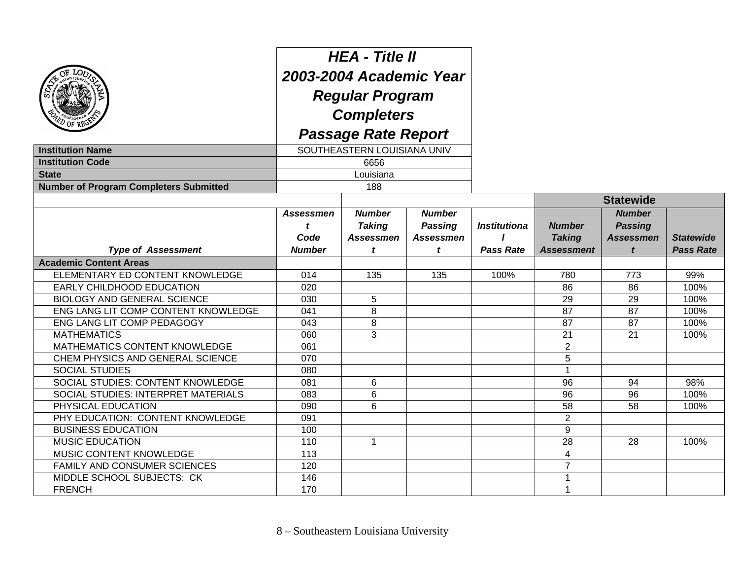| <b>Institution Name</b>                       | <b>HEA - Title II</b><br>2003-2004 Academic Year<br><b>Regular Program</b><br><b>Completers</b><br><b>Passage Rate Report</b><br>SOUTHEASTERN LOUISIANA UNIV |                                                    |                                                     |                     |                                |                                                     |                  |
|-----------------------------------------------|--------------------------------------------------------------------------------------------------------------------------------------------------------------|----------------------------------------------------|-----------------------------------------------------|---------------------|--------------------------------|-----------------------------------------------------|------------------|
| <b>Institution Code</b>                       |                                                                                                                                                              | 6656                                               |                                                     |                     |                                |                                                     |                  |
| <b>State</b>                                  |                                                                                                                                                              | Louisiana                                          |                                                     |                     |                                |                                                     |                  |
| <b>Number of Program Completers Submitted</b> |                                                                                                                                                              | 188                                                |                                                     |                     |                                |                                                     |                  |
|                                               |                                                                                                                                                              |                                                    |                                                     |                     |                                | <b>Statewide</b>                                    |                  |
|                                               | <b>Assessmen</b><br>Code                                                                                                                                     | <b>Number</b><br><b>Taking</b><br><b>Assessmen</b> | <b>Number</b><br><b>Passing</b><br><b>Assessmen</b> | <b>Institutiona</b> | <b>Number</b><br><b>Taking</b> | <b>Number</b><br><b>Passing</b><br><b>Assessmen</b> | <b>Statewide</b> |
| <b>Type of Assessment</b>                     | <b>Number</b>                                                                                                                                                | t                                                  | t                                                   | <b>Pass Rate</b>    | <b>Assessment</b>              | t                                                   | <b>Pass Rate</b> |
| <b>Academic Content Areas</b>                 |                                                                                                                                                              |                                                    |                                                     |                     |                                |                                                     |                  |
| ELEMENTARY ED CONTENT KNOWLEDGE               | 014                                                                                                                                                          | 135                                                | 135                                                 | 100%                | 780                            | 773                                                 | 99%              |
| EARLY CHILDHOOD EDUCATION                     | 020                                                                                                                                                          |                                                    |                                                     |                     | 86                             | 86                                                  | 100%             |
| <b>BIOLOGY AND GENERAL SCIENCE</b>            | 030                                                                                                                                                          | 5                                                  |                                                     |                     | 29                             | 29                                                  | 100%             |
| ENG LANG LIT COMP CONTENT KNOWLEDGE           | 041                                                                                                                                                          | 8                                                  |                                                     |                     | 87                             | 87                                                  | 100%             |
| ENG LANG LIT COMP PEDAGOGY                    | 043                                                                                                                                                          | 8                                                  |                                                     |                     | 87                             | 87                                                  | 100%             |
| <b>MATHEMATICS</b>                            | 060                                                                                                                                                          | 3                                                  |                                                     |                     | 21                             | 21                                                  | 100%             |
| MATHEMATICS CONTENT KNOWLEDGE                 | 061                                                                                                                                                          |                                                    |                                                     |                     | $\overline{2}$                 |                                                     |                  |
| CHEM PHYSICS AND GENERAL SCIENCE              | 070                                                                                                                                                          |                                                    |                                                     |                     | 5                              |                                                     |                  |
| <b>SOCIAL STUDIES</b>                         | 080                                                                                                                                                          |                                                    |                                                     |                     | 1                              |                                                     |                  |
| SOCIAL STUDIES: CONTENT KNOWLEDGE             | 081                                                                                                                                                          | 6                                                  |                                                     |                     | 96                             | 94                                                  | 98%              |
| SOCIAL STUDIES: INTERPRET MATERIALS           | 083                                                                                                                                                          | 6                                                  |                                                     |                     | 96                             | 96                                                  | 100%             |
| PHYSICAL EDUCATION                            | 090                                                                                                                                                          | 6                                                  |                                                     |                     | 58                             | 58                                                  | 100%             |
| PHY EDUCATION: CONTENT KNOWLEDGE              | 091                                                                                                                                                          |                                                    |                                                     |                     | $\overline{2}$                 |                                                     |                  |
| <b>BUSINESS EDUCATION</b>                     | 100                                                                                                                                                          |                                                    |                                                     |                     | 9                              |                                                     |                  |
| <b>MUSIC EDUCATION</b>                        | 110                                                                                                                                                          | $\mathbf{1}$                                       |                                                     |                     | 28                             | 28                                                  | 100%             |
| MUSIC CONTENT KNOWLEDGE                       | 113                                                                                                                                                          |                                                    |                                                     |                     | 4                              |                                                     |                  |
| FAMILY AND CONSUMER SCIENCES                  | 120                                                                                                                                                          |                                                    |                                                     |                     | $\overline{7}$                 |                                                     |                  |
| MIDDLE SCHOOL SUBJECTS: CK                    | 146                                                                                                                                                          |                                                    |                                                     |                     | 1                              |                                                     |                  |
| <b>FRENCH</b>                                 | 170                                                                                                                                                          |                                                    |                                                     |                     | 1                              |                                                     |                  |

8 – Southeastern Louisiana University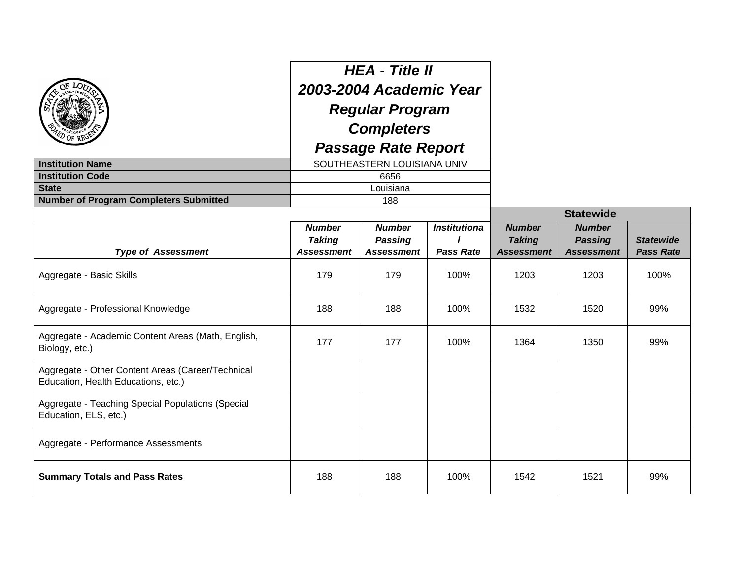|                                                                                          |                                                     | <b>HEA - Title II</b><br>2003-2004 Academic Year     |                                         |                                                     |                                                      |                                      |
|------------------------------------------------------------------------------------------|-----------------------------------------------------|------------------------------------------------------|-----------------------------------------|-----------------------------------------------------|------------------------------------------------------|--------------------------------------|
|                                                                                          |                                                     | <b>Regular Program</b>                               |                                         |                                                     |                                                      |                                      |
|                                                                                          |                                                     | <b>Completers</b>                                    |                                         |                                                     |                                                      |                                      |
|                                                                                          |                                                     | <b>Passage Rate Report</b>                           |                                         |                                                     |                                                      |                                      |
| <b>Institution Name</b>                                                                  | SOUTHEASTERN LOUISIANA UNIV                         |                                                      |                                         |                                                     |                                                      |                                      |
| <b>Institution Code</b>                                                                  |                                                     | 6656                                                 |                                         |                                                     |                                                      |                                      |
| <b>State</b>                                                                             |                                                     | Louisiana                                            |                                         |                                                     |                                                      |                                      |
| <b>Number of Program Completers Submitted</b>                                            |                                                     | 188                                                  |                                         |                                                     |                                                      |                                      |
|                                                                                          |                                                     |                                                      |                                         |                                                     | <b>Statewide</b>                                     |                                      |
| <b>Type of Assessment</b>                                                                | <b>Number</b><br><b>Taking</b><br><b>Assessment</b> | <b>Number</b><br><b>Passing</b><br><b>Assessment</b> | <b>Institutiona</b><br><b>Pass Rate</b> | <b>Number</b><br><b>Taking</b><br><b>Assessment</b> | <b>Number</b><br><b>Passing</b><br><b>Assessment</b> | <b>Statewide</b><br><b>Pass Rate</b> |
| Aggregate - Basic Skills                                                                 | 179                                                 | 179                                                  | 100%                                    | 1203                                                | 1203                                                 | 100%                                 |
| Aggregate - Professional Knowledge                                                       | 188                                                 | 188                                                  | 100%                                    | 1532                                                | 1520                                                 | 99%                                  |
| Aggregate - Academic Content Areas (Math, English,<br>Biology, etc.)                     | 177                                                 | 177                                                  | 100%                                    | 1364                                                | 1350                                                 | 99%                                  |
| Aggregate - Other Content Areas (Career/Technical<br>Education, Health Educations, etc.) |                                                     |                                                      |                                         |                                                     |                                                      |                                      |
| Aggregate - Teaching Special Populations (Special<br>Education, ELS, etc.)               |                                                     |                                                      |                                         |                                                     |                                                      |                                      |
| Aggregate - Performance Assessments                                                      |                                                     |                                                      |                                         |                                                     |                                                      |                                      |
| <b>Summary Totals and Pass Rates</b>                                                     | 188                                                 | 188                                                  | 100%                                    | 1542                                                | 1521                                                 | 99%                                  |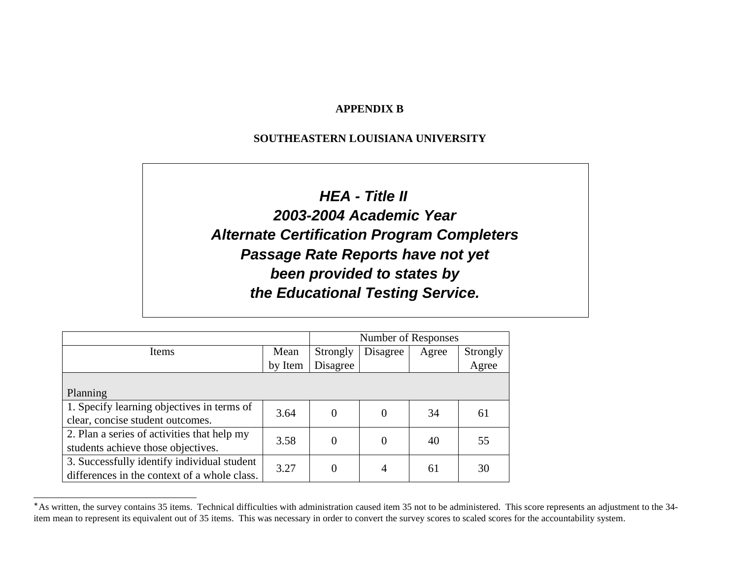### **APPENDIX B**

### **SOUTHEASTERN LOUISIANA UNIVERSITY**

**TEACHER PREPARATION PROGRAM ACCOUNTABILITY SURVEY**

**2003-2004 Data HEA - Title II Alternate Certification Program Completers Passage Rate Reports have not yet been provided to states by 2003-2004 Academic Year the Educational Testing Service.**

|                                              | Number of Responses |                |          |       |          |
|----------------------------------------------|---------------------|----------------|----------|-------|----------|
| Items                                        | Mean                | Strongly       | Disagree | Agree | Strongly |
|                                              | by Item             | Disagree       |          |       | Agree    |
|                                              |                     |                |          |       |          |
| Planning                                     |                     |                |          |       |          |
| 1. Specify learning objectives in terms of   | 3.64                | $\Omega$       | $\Omega$ | 34    | 61       |
| clear, concise student outcomes.             |                     |                |          |       |          |
| 2. Plan a series of activities that help my  | 3.58                | $\overline{0}$ | $\theta$ | 40    | 55       |
| students achieve those objectives.           |                     |                |          |       |          |
| 3. Successfully identify individual student  | 3.27                | $\Omega$       | 4        | 61    | 30       |
| differences in the context of a whole class. |                     |                |          |       |          |

<sup>∗</sup> As written, the survey contains 35 items. Technical difficulties with administration caused item 35 not to be administered. This score represents an adjustment to the 34 item mean to represent its equivalent out of 35 items. This was necessary in order to convert the survey scores to scaled scores for the accountability system.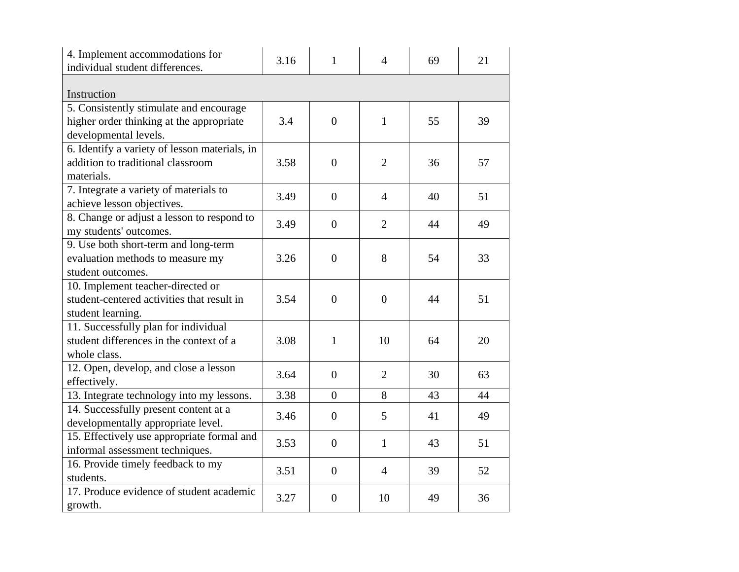| 4. Implement accommodations for<br>individual student differences. | 3.16 | $\mathbf{1}$   | $\overline{4}$ | 69 | 21 |
|--------------------------------------------------------------------|------|----------------|----------------|----|----|
|                                                                    |      |                |                |    |    |
| Instruction                                                        |      |                |                |    |    |
| 5. Consistently stimulate and encourage                            |      |                |                |    |    |
| higher order thinking at the appropriate                           | 3.4  | $\overline{0}$ | $\mathbf{1}$   | 55 | 39 |
| developmental levels.                                              |      |                |                |    |    |
| 6. Identify a variety of lesson materials, in                      |      |                |                |    |    |
| addition to traditional classroom                                  | 3.58 | $\overline{0}$ | $\overline{2}$ | 36 | 57 |
| materials.                                                         |      |                |                |    |    |
| 7. Integrate a variety of materials to                             | 3.49 | $\overline{0}$ | $\overline{4}$ | 40 | 51 |
| achieve lesson objectives.                                         |      |                |                |    |    |
| 8. Change or adjust a lesson to respond to                         | 3.49 | $\overline{0}$ | $\overline{2}$ | 44 | 49 |
| my students' outcomes.                                             |      |                |                |    |    |
| 9. Use both short-term and long-term                               |      |                |                |    |    |
| evaluation methods to measure my                                   | 3.26 | $\overline{0}$ | 8              | 54 | 33 |
| student outcomes.                                                  |      |                |                |    |    |
| 10. Implement teacher-directed or                                  |      |                |                |    |    |
| student-centered activities that result in                         | 3.54 | $\theta$       | $\overline{0}$ | 44 | 51 |
| student learning.                                                  |      |                |                |    |    |
| 11. Successfully plan for individual                               |      |                |                |    |    |
| student differences in the context of a                            | 3.08 | $\mathbf{1}$   | 10             | 64 | 20 |
| whole class.                                                       |      |                |                |    |    |
| 12. Open, develop, and close a lesson                              |      |                |                |    |    |
| effectively.                                                       | 3.64 | $\overline{0}$ | $\overline{2}$ | 30 | 63 |
| 13. Integrate technology into my lessons.                          | 3.38 | $\overline{0}$ | 8              | 43 | 44 |
| 14. Successfully present content at a                              | 3.46 | $\overline{0}$ | 5              | 41 | 49 |
| developmentally appropriate level.                                 |      |                |                |    |    |
| 15. Effectively use appropriate formal and                         |      |                |                |    |    |
| informal assessment techniques.                                    | 3.53 | $\overline{0}$ | $\mathbf{1}$   | 43 | 51 |
| 16. Provide timely feedback to my                                  |      |                |                |    |    |
| students.                                                          | 3.51 | $\overline{0}$ | $\overline{4}$ | 39 | 52 |
| 17. Produce evidence of student academic                           |      |                |                |    |    |
| growth.                                                            | 3.27 | $\overline{0}$ | 10             | 49 | 36 |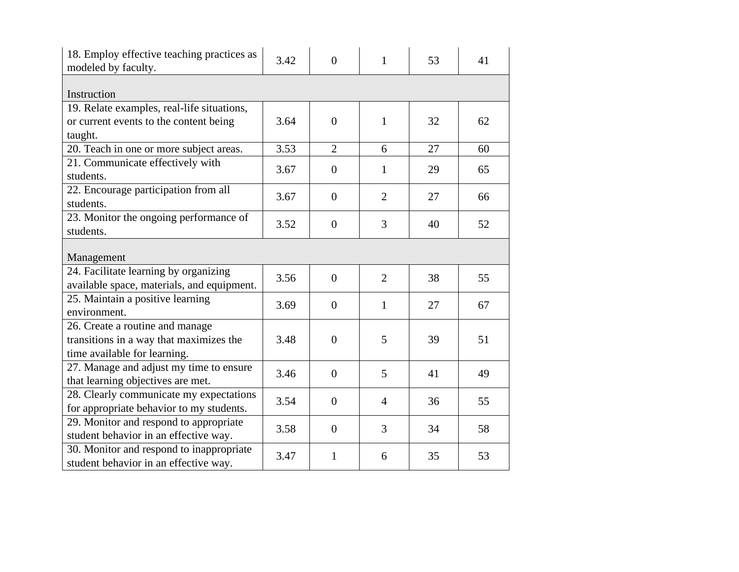| 18. Employ effective teaching practices as<br>modeled by faculty. | 3.42 | $\theta$         | $\mathbf{1}$   | 53 | 41 |
|-------------------------------------------------------------------|------|------------------|----------------|----|----|
| Instruction                                                       |      |                  |                |    |    |
| 19. Relate examples, real-life situations,                        |      |                  |                |    |    |
| or current events to the content being                            | 3.64 | $\overline{0}$   | $\mathbf{1}$   | 32 | 62 |
| taught.                                                           |      |                  |                |    |    |
| 20. Teach in one or more subject areas.                           | 3.53 | $\overline{2}$   | 6              | 27 | 60 |
| 21. Communicate effectively with                                  |      |                  |                |    |    |
| students.                                                         | 3.67 | $\boldsymbol{0}$ | $\mathbf{1}$   | 29 | 65 |
| 22. Encourage participation from all                              |      |                  |                |    |    |
| students.                                                         | 3.67 | $\overline{0}$   | $\overline{2}$ | 27 | 66 |
| 23. Monitor the ongoing performance of                            |      |                  |                |    |    |
| students.                                                         | 3.52 | $\overline{0}$   | 3              | 40 | 52 |
|                                                                   |      |                  |                |    |    |
| Management                                                        |      |                  |                |    |    |
| 24. Facilitate learning by organizing                             | 3.56 | $\overline{0}$   | $\overline{2}$ | 38 | 55 |
| available space, materials, and equipment.                        |      |                  |                |    |    |
| 25. Maintain a positive learning                                  | 3.69 | $\overline{0}$   | $\mathbf{1}$   | 27 | 67 |
| environment.                                                      |      |                  |                |    |    |
| 26. Create a routine and manage                                   |      |                  |                |    |    |
| transitions in a way that maximizes the                           | 3.48 | $\overline{0}$   | 5              | 39 | 51 |
| time available for learning.                                      |      |                  |                |    |    |
| 27. Manage and adjust my time to ensure                           | 3.46 | $\overline{0}$   | 5              | 41 | 49 |
| that learning objectives are met.                                 |      |                  |                |    |    |
| 28. Clearly communicate my expectations                           | 3.54 | $\overline{0}$   | $\overline{4}$ | 36 | 55 |
| for appropriate behavior to my students.                          |      |                  |                |    |    |
| 29. Monitor and respond to appropriate                            | 3.58 | $\overline{0}$   | 3              | 34 | 58 |
| student behavior in an effective way.                             |      |                  |                |    |    |
| 30. Monitor and respond to inappropriate                          | 3.47 | 1                | 6              | 35 | 53 |
| student behavior in an effective way.                             |      |                  |                |    |    |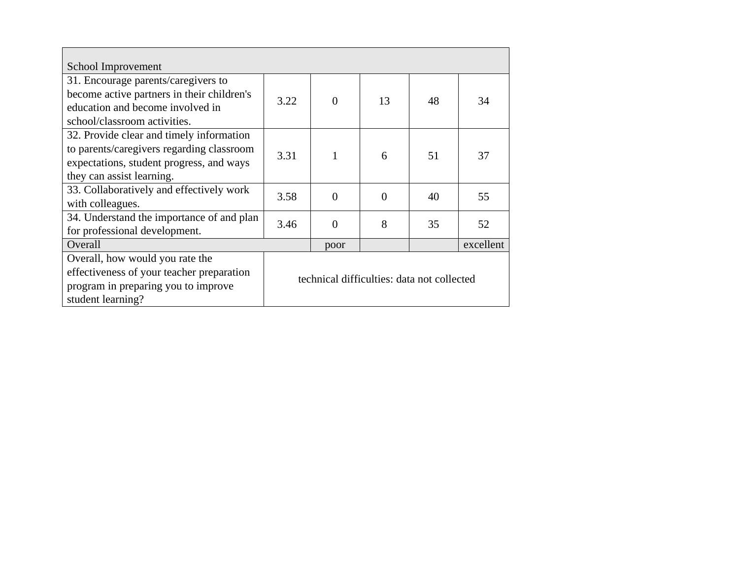| School Improvement                         |                                            |                |          |    |           |
|--------------------------------------------|--------------------------------------------|----------------|----------|----|-----------|
| 31. Encourage parents/caregivers to        |                                            |                |          |    |           |
| become active partners in their children's | 3.22                                       | $\overline{0}$ | 13       | 48 | 34        |
| education and become involved in           |                                            |                |          |    |           |
| school/classroom activities.               |                                            |                |          |    |           |
| 32. Provide clear and timely information   |                                            |                |          |    |           |
| to parents/caregivers regarding classroom  | 3.31                                       |                | 6        | 51 | 37        |
| expectations, student progress, and ways   |                                            |                |          |    |           |
| they can assist learning.                  |                                            |                |          |    |           |
| 33. Collaboratively and effectively work   | 3.58                                       | $\Omega$       | $\Omega$ | 40 | 55        |
| with colleagues.                           |                                            |                |          |    |           |
| 34. Understand the importance of and plan  | 3.46                                       | $\Omega$       | 8        | 35 | 52        |
| for professional development.              |                                            |                |          |    |           |
| Overall                                    |                                            | poor           |          |    | excellent |
| Overall, how would you rate the            |                                            |                |          |    |           |
| effectiveness of your teacher preparation  | technical difficulties: data not collected |                |          |    |           |
| program in preparing you to improve        |                                            |                |          |    |           |
| student learning?                          |                                            |                |          |    |           |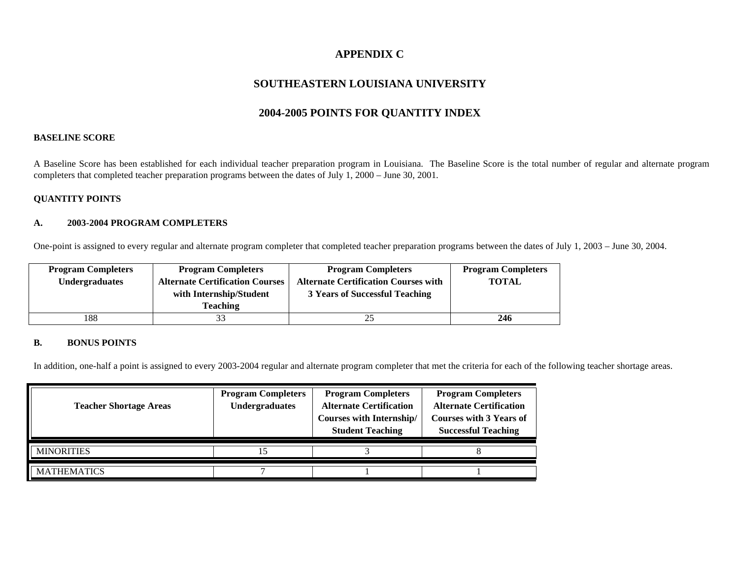### **APPENDIX C**

### **SOUTHEASTERN LOUISIANA UNIVERSITY**

### **2004-2005 POINTS FOR QUANTITY INDEX**

### **BASELINE SCORE**

A Baseline Score has been established for each individual teacher preparation program in Louisiana. The Baseline Score is the total number of regular and alternate program completers that completed teacher preparation programs between the dates of July 1, 2000 – June 30, 2001.

### **QUANTITY POINTS**

#### **A. 2003-2004 PROGRAM COMPLETERS**

One-point is assigned to every regular and alternate program completer that completed teacher preparation programs between the dates of July 1, 2003 – June 30, 2004.

| <b>Program Completers</b> | <b>Program Completers</b>              | <b>Program Completers</b>                   | <b>Program Completers</b> |
|---------------------------|----------------------------------------|---------------------------------------------|---------------------------|
| <b>Undergraduates</b>     | <b>Alternate Certification Courses</b> | <b>Alternate Certification Courses with</b> | <b>TOTAL</b>              |
|                           | with Internship/Student                | 3 Years of Successful Teaching              |                           |
|                           | Teaching                               |                                             |                           |
| 188                       |                                        |                                             | 246                       |

### **B. BONUS POINTS**

In addition, one-half a point is assigned to every 2003-2004 regular and alternate program completer that met the criteria for each of the following teacher shortage areas.

| <b>Teacher Shortage Areas</b> | <b>Program Completers</b><br><b>Undergraduates</b> | <b>Program Completers</b><br><b>Alternate Certification</b><br><b>Courses with Internship/</b><br><b>Student Teaching</b> | <b>Program Completers</b><br><b>Alternate Certification</b><br><b>Courses with 3 Years of</b><br><b>Successful Teaching</b> |
|-------------------------------|----------------------------------------------------|---------------------------------------------------------------------------------------------------------------------------|-----------------------------------------------------------------------------------------------------------------------------|
| <b>MINORITIES</b>             |                                                    |                                                                                                                           |                                                                                                                             |
| <b>MATHEMATICS</b>            |                                                    |                                                                                                                           |                                                                                                                             |